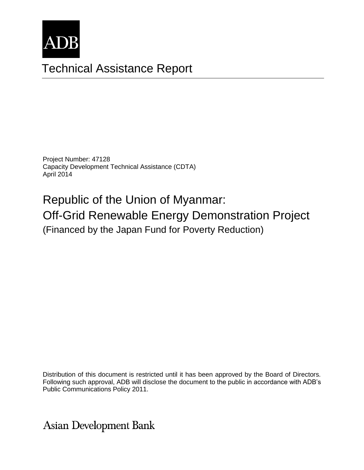

# Technical Assistance Report

Project Number: 47128 Capacity Development Technical Assistance (CDTA) April 2014

Republic of the Union of Myanmar: Off-Grid Renewable Energy Demonstration Project (Financed by the Japan Fund for Poverty Reduction)

The views expressed herein are those of the consultant and do not necessarily represent those of ADB's Distribution of this document is restricted until it has been approved by the Board of Directors. Following such approval, ADB will disclose the document to the public in accordance with ADB's Public Communications Policy 2011.

**Asian Development Bank**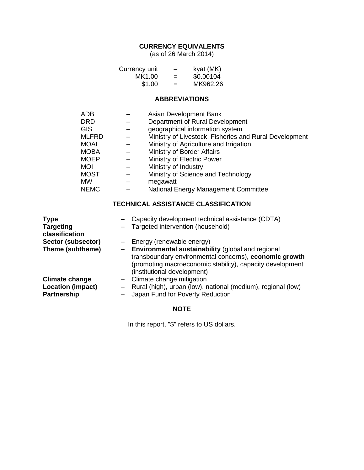## **CURRENCY EQUIVALENTS**

(as of 26 March 2014)

| Currency unit | -   | kyat (MK) |
|---------------|-----|-----------|
| MK1.00        | =   | \$0.00104 |
| \$1.00        | $=$ | MK962.26  |

#### **ABBREVIATIONS**

| ADB          | Asian Development Bank                                 |
|--------------|--------------------------------------------------------|
| <b>DRD</b>   | Department of Rural Development                        |
| <b>GIS</b>   | geographical information system                        |
| <b>MLFRD</b> | Ministry of Livestock, Fisheries and Rural Development |
| <b>MOAI</b>  | Ministry of Agriculture and Irrigation                 |
| <b>MOBA</b>  | Ministry of Border Affairs                             |
| <b>MOEP</b>  | Ministry of Electric Power                             |
| <b>MOI</b>   | Ministry of Industry                                   |
| <b>MOST</b>  | Ministry of Science and Technology                     |
| MW           | megawatt                                               |
| <b>NEMC</b>  | National Energy Management Committee                   |

## **TECHNICAL ASSISTANCE CLASSIFICATION**

| <b>Type</b>                        | Capacity development technical assistance (CDTA)                                                                                                                                                          |
|------------------------------------|-----------------------------------------------------------------------------------------------------------------------------------------------------------------------------------------------------------|
| <b>Targeting</b><br>classification | Targeted intervention (household)                                                                                                                                                                         |
| Sector (subsector)                 | - Energy (renewable energy)                                                                                                                                                                               |
| Theme (subtheme)                   | - Environmental sustainability (global and regional<br>transboundary environmental concerns), economic growth<br>(promoting macroeconomic stability), capacity development<br>(institutional development) |
| <b>Climate change</b>              | $-$ Climate change mitigation                                                                                                                                                                             |
| <b>Location (impact)</b>           | - Rural (high), urban (low), national (medium), regional (low)                                                                                                                                            |
| <b>Partnership</b>                 | Japan Fund for Poverty Reduction                                                                                                                                                                          |

#### **NOTE**

In this report, "\$" refers to US dollars.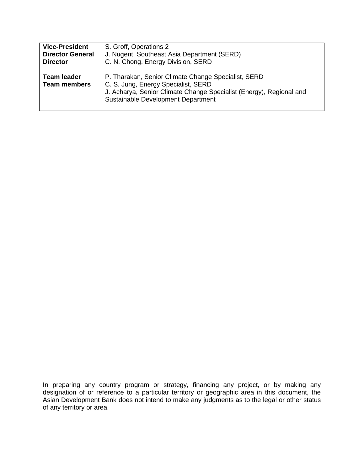| <b>Vice-President</b>              | S. Groff, Operations 2                                                                                                                                                                                  |  |  |
|------------------------------------|---------------------------------------------------------------------------------------------------------------------------------------------------------------------------------------------------------|--|--|
| <b>Director General</b>            | J. Nugent, Southeast Asia Department (SERD)                                                                                                                                                             |  |  |
| <b>Director</b>                    | C. N. Chong, Energy Division, SERD                                                                                                                                                                      |  |  |
| Team leader<br><b>Team members</b> | P. Tharakan, Senior Climate Change Specialist, SERD<br>C. S. Jung, Energy Specialist, SERD<br>J. Acharya, Senior Climate Change Specialist (Energy), Regional and<br>Sustainable Development Department |  |  |

designation or or reference to a particular territory or geographic area in this document, the Asian Development Bank does not intend to make any judgments as to the leg In preparing any country program or strategy, financing any project, or by making any designation of or reference to a particular territory or geographic area in this document, the Asian Development Bank does not intend to make any judgments as to the legal or other status of any territory or area.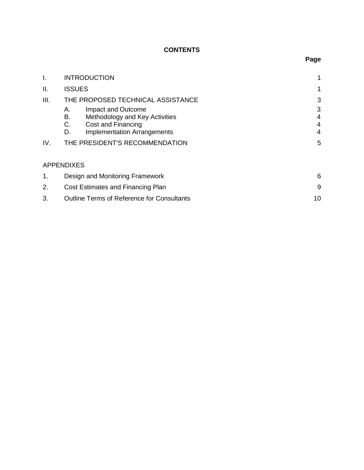## **CONTENTS**

| I.   | <b>INTRODUCTION</b>                                                                                                                      |                               |
|------|------------------------------------------------------------------------------------------------------------------------------------------|-------------------------------|
| ΙΙ.  | <b>ISSUES</b>                                                                                                                            | 1                             |
| III. | THE PROPOSED TECHNICAL ASSISTANCE                                                                                                        | 3                             |
|      | Impact and Outcome<br>А.<br>Methodology and Key Activities<br>В.<br>C.<br>Cost and Financing<br><b>Implementation Arrangements</b><br>D. | 3<br>4<br>$\overline{4}$<br>4 |
| IV.  | THE PRESIDENT'S RECOMMENDATION                                                                                                           |                               |
|      | <b>APPENDIXES</b>                                                                                                                        |                               |
| 1.   | Design and Monitoring Framework                                                                                                          | 6                             |
| 2.   | Cost Estimates and Financing Plan                                                                                                        | 9                             |
| 3.   | <b>Outline Terms of Reference for Consultants</b>                                                                                        | 10                            |

# **Page**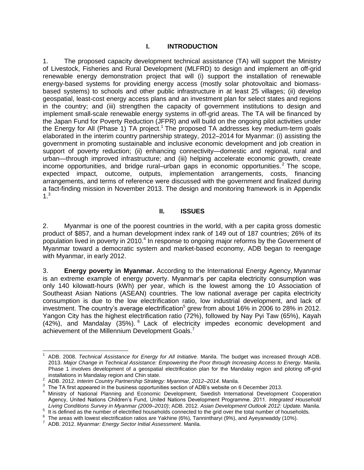#### **I. INTRODUCTION**

1. The proposed capacity development technical assistance (TA) will support the Ministry of Livestock, Fisheries and Rural Development (MLFRD) to design and implement an off-grid renewable energy demonstration project that will (i) support the installation of renewable energy-based systems for providing energy access (mostly solar photovoltaic and biomassbased systems) to schools and other public infrastructure in at least 25 villages; (ii) develop geospatial, least-cost energy access plans and an investment plan for select states and regions in the country; and (iii) strengthen the capacity of government institutions to design and implement small-scale renewable energy systems in off-grid areas. The TA will be financed by the Japan Fund for Poverty Reduction (JFPR) and will build on the ongoing pilot activities under the Energy for All (Phase 1) TA project.<sup>1</sup> The proposed TA addresses key medium-term goals elaborated in the interim country partnership strategy, 2012–2014 for Myanmar: (i) assisting the government in promoting sustainable and inclusive economic development and job creation in support of poverty reduction; (ii) enhancing connectivity—domestic and regional, rural and urban—through improved infrastructure; and (iii) helping accelerate economic growth, create income opportunities, and bridge rural–urban gaps in economic opportunities. <sup>2</sup> The scope, expected impact, outcome, outputs, implementation arrangements, costs, financing arrangements, and terms of reference were discussed with the government and finalized during a fact-finding mission in November 2013. The design and monitoring framework is in Appendix 1.<sup>3</sup>

#### **II. ISSUES**

2. Myanmar is one of the poorest countries in the world, with a per capita gross domestic product of \$857, and a human development index rank of 149 out of 187 countries; 26% of its population lived in poverty in 2010. $4$  In response to ongoing major reforms by the Government of Myanmar toward a democratic system and market-based economy, ADB began to reengage with Myanmar, in early 2012.

3. **Energy poverty in Myanmar.** According to the International Energy Agency, Myanmar is an extreme example of energy poverty. Myanmar's per capita electricity consumption was only 140 kilowatt-hours (kWh) per year, which is the lowest among the 10 Association of Southeast Asian Nations (ASEAN) countries. The low national average per capita electricity consumption is due to the low electrification ratio, low industrial development, and lack of investment. The country's average electrification<sup>5</sup> grew from about 16% in 2006 to 28% in 2012. Yangon City has the highest electrification ratio (72%), followed by Nay Pyi Taw (65%), Kayah (42%), and Mandalay (35%). <sup>6</sup> Lack of electricity impedes economic development and achievement of the Millennium Development Goals.<sup>7</sup>

 $\overline{a}$ 

<sup>1</sup> ADB. 2008. *Technical Assistance for Energy for All Initiative.* Manila. The budget was increased through ADB. 2013. *Major Change in Technical Assistance: Empowering the Poor through Increasing Access to Energy.* Manila. Phase 1 involves development of a geospatial electrification plan for the Mandalay region and piloting off-grid

installations in Mandalay region and Chin state. 2 ADB. 2012. *Interim Country Partnership Strategy: Myanmar, 2012–2014*. Manila.

 $3$  The TA first appeared in the business opportunities section of ADB's website on 6 December 2013.

<sup>&</sup>lt;sup>4</sup> Ministry of National Planning and Economic Development, Swedish International Development Cooperation Agency, United Nations Children's Fund, United Nations Development Programme. 2011. *Integrated Household Living Conditions Survey in Myanmar (2009–2010)*; ADB. 2012. *Asian Development Outlook 2012: Update.* Manila.

 $5$  It is defined as the number of electrified households connected to the grid over the total number of households.

<sup>6</sup> The areas with lowest electrification ratios are Yakhine (6%), Tannintharyi (9%), and Ayeyarwaddy (10%).

<sup>7</sup> ADB. 2012. *Myanmar: Energy Sector Initial Assessment.* Manila.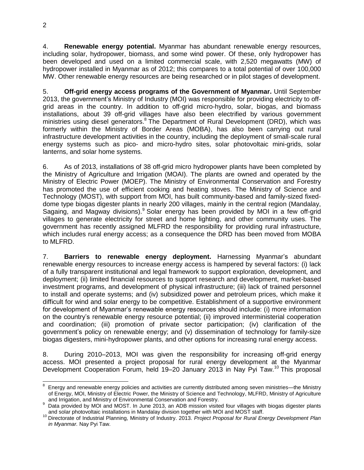4. **Renewable energy potential.** Myanmar has abundant renewable energy resources, including solar, hydropower, biomass, and some wind power. Of these, only hydropower has been developed and used on a limited commercial scale, with 2,520 megawatts (MW) of hydropower installed in Myanmar as of 2012; this compares to a total potential of over 100,000 MW. Other renewable energy resources are being researched or in pilot stages of development.

5. **Off-grid energy access programs of the Government of Myanmar.** Until September 2013, the government's Ministry of Industry (MOI) was responsible for providing electricity to offgrid areas in the country. In addition to off-grid micro-hydro, solar, biogas, and biomass installations, about 39 off-grid villages have also been electrified by various government ministries using diesel generators.<sup>8</sup> The Department of Rural Development (DRD), which was formerly within the Ministry of Border Areas (MOBA), has also been carrying out rural infrastructure development activities in the country, including the deployment of small-scale rural energy systems such as pico- and micro-hydro sites, solar photovoltaic mini-grids, solar lanterns, and solar home systems.

6. As of 2013, installations of 38 off-grid micro hydropower plants have been completed by the Ministry of Agriculture and Irrigation (MOAI). The plants are owned and operated by the Ministry of Electric Power (MOEP). The Ministry of Environmental Conservation and Forestry has promoted the use of efficient cooking and heating stoves. The Ministry of Science and Technology (MOST), with support from MOI, has built community-based and family-sized fixeddome type biogas digester plants in nearly 200 villages, mainly in the central region (Mandalay, Sagaing, and Magway divisions). Solar energy has been provided by MOI in a few off-grid villages to generate electricity for street and home lighting, and other community uses. The government has recently assigned MLFRD the responsibility for providing rural infrastructure, which includes rural energy access; as a consequence the DRD has been moved from MOBA to MLFRD.

7. **Barriers to renewable energy deployment.** Harnessing Myanmar's abundant renewable energy resources to increase energy access is hampered by several factors: (i) lack of a fully transparent institutional and legal framework to support exploration, development, and deployment; (ii) limited financial resources to support research and development, market-based investment programs, and development of physical infrastructure; (iii) lack of trained personnel to install and operate systems; and (iv) subsidized power and petroleum prices, which make it difficult for wind and solar energy to be competitive. Establishment of a supportive environment for development of Myanmar's renewable energy resources should include: (i) more information on the country's renewable energy resource potential; (ii) improved interministerial cooperation and coordination; (iii) promotion of private sector participation; (iv) clarification of the government's policy on renewable energy; and (v) dissemination of technology for family-size biogas digesters, mini-hydropower plants, and other options for increasing rural energy access.

8. During 2010–2013, MOI was given the responsibility for increasing off-grid energy access. MOI presented a project proposal for rural energy development at the Myanmar Development Cooperation Forum, held 19–20 January 2013 in Nay Pyi Taw.<sup>10</sup> This proposal

 $\overline{\phantom{a}}$ 

<sup>8</sup> Energy and renewable energy policies and activities are currently distributed among seven ministries—the Ministry of Energy, MOI, Ministry of Electric Power, the Ministry of Science and Technology, MLFRD, Ministry of Agriculture and Irrigation, and Ministry of Environmental Conservation and Forestry.

<sup>9</sup> Data provided by MOI and MOST. In June 2013, an ADB mission visited four villages with biogas digester plants and solar photovoltaic installations in Mandalay division together with MOI and MOST staff.

<sup>10</sup> Directorate of Industrial Planning, Ministry of Industry. 2013. *Project Proposal for Rural Energy Development Plan in Myanmar.* Nay Pyi Taw.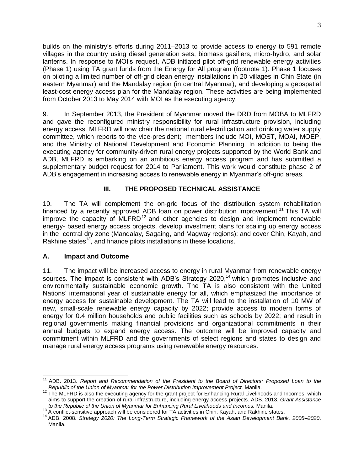builds on the ministry's efforts during 2011–2013 to provide access to energy to 591 remote villages in the country using diesel generation sets, biomass gasifiers, micro-hydro, and solar lanterns. In response to MOI's request, ADB initiated pilot off-grid renewable energy activities (Phase 1) using TA grant funds from the Energy for All program (footnote 1). Phase 1 focuses on piloting a limited number of off-grid clean energy installations in 20 villages in Chin State (in eastern Myanmar) and the Mandalay region (in central Myanmar), and developing a geospatial least-cost energy access plan for the Mandalay region. These activities are being implemented from October 2013 to May 2014 with MOI as the executing agency.

9. In September 2013, the President of Myanmar moved the DRD from MOBA to MLFRD and gave the reconfigured ministry responsibility for rural infrastructure provision, including energy access. MLFRD will now chair the national rural electrification and drinking water supply committee, which reports to the vice-president; members include MOI, MOST, MOAI, MOEP, and the Ministry of National Development and Economic Planning. In addition to being the executing agency for community-driven rural energy projects supported by the World Bank and ADB, MLFRD is embarking on an ambitious energy access program and has submitted a supplementary budget request for 2014 to Parliament. This work would constitute phase 2 of ADB's engagement in increasing access to renewable energy in Myanmar's off-grid areas.

### **III. THE PROPOSED TECHNICAL ASSISTANCE**

10. The TA will complement the on-grid focus of the distribution system rehabilitation financed by a recently approved ADB loan on power distribution improvement.<sup>11</sup> This TA will improve the capacity of MLFRD<sup>12</sup> and other agencies to design and implement renewable energy- based energy access projects, develop investment plans for scaling up energy access in the central dry zone (Mandalay, Sagaing, and Magway regions); and cover Chin, Kayah, and Rakhine states<sup>13</sup>, and finance pilots installations in these locations.

#### **A. Impact and Outcome**

11. The impact will be increased access to energy in rural Myanmar from renewable energy sources. The impact is consistent with ADB's Strategy 2020,<sup>14</sup> which promotes inclusive and environmentally sustainable economic growth. The TA is also consistent with the United Nations' international year of sustainable energy for all, which emphasized the importance of energy access for sustainable development. The TA will lead to the installation of 10 MW of new, small-scale renewable energy capacity by 2022; provide access to modern forms of energy for 0.4 million households and public facilities such as schools by 2022; and result in regional governments making financial provisions and organizational commitments in their annual budgets to expand energy access. The outcome will be improved capacity and commitment within MLFRD and the governments of select regions and states to design and manage rural energy access programs using renewable energy resources.

j <sup>11</sup> ADB. 2013. *Report and Recommendation of the President to the Board of Directors: Proposed Loan to the Republic of the Union of Myanmar for the Power Distribution Improvement Project.* Manila.

 $12$  The MLFRD is also the executing agency for the grant project for Enhancing Rural Livelihoods and Incomes, which aims to support the creation of rural infrastructure, including energy access projects. ADB. 2013. *Grant Assistance to the Republic of the Union of Myanmar for Enhancing Rural Livelihoods and Incomes.* Manila.

<sup>&</sup>lt;sup>13</sup> A conflict-sensitive approach will be considered for TA activities in Chin, Kayah, and Rakhine states.

<sup>14</sup> ADB. 2008. *Strategy 2020: The Long-Term Strategic Framework of the Asian Development Bank, 2008–2020*. Manila.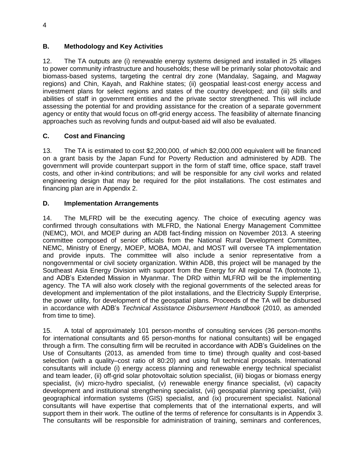## **B. Methodology and Key Activities**

12. The TA outputs are (i) renewable energy systems designed and installed in 25 villages to power community infrastructure and households; these will be primarily solar photovoltaic and biomass-based systems, targeting the central dry zone (Mandalay, Sagaing, and Magway regions) and Chin, Kayah, and Rakhine states; (ii) geospatial least-cost energy access and investment plans for select regions and states of the country developed; and (iii) skills and abilities of staff in government entities and the private sector strengthened. This will include assessing the potential for and providing assistance for the creation of a separate government agency or entity that would focus on off-grid energy access. The feasibility of alternate financing approaches such as revolving funds and output-based aid will also be evaluated.

### **C. Cost and Financing**

13. The TA is estimated to cost \$2,200,000, of which \$2,000,000 equivalent will be financed on a grant basis by the Japan Fund for Poverty Reduction and administered by ADB. The government will provide counterpart support in the form of staff time, office space, staff travel costs, and other in-kind contributions; and will be responsible for any civil works and related engineering design that may be required for the pilot installations. The cost estimates and financing plan are in Appendix 2.

### **D. Implementation Arrangements**

14. The MLFRD will be the executing agency. The choice of executing agency was confirmed through consultations with MLFRD, the National Energy Management Committee (NEMC), MOI, and MOEP during an ADB fact-finding mission on November 2013. A steering committee composed of senior officials from the National Rural Development Committee, NEMC, Ministry of Energy, MOEP, MOBA, MOAI, and MOST will oversee TA implementation and provide inputs. The committee will also include a senior representative from a nongovernmental or civil society organization. Within ADB, this project will be managed by the Southeast Asia Energy Division with support from the Energy for All regional TA (footnote 1), and ADB's Extended Mission in Myanmar. The DRD within MLFRD will be the implementing agency. The TA will also work closely with the regional governments of the selected areas for development and implementation of the pilot installations, and the Electricity Supply Enterprise, the power utility, for development of the geospatial plans. Proceeds of the TA will be disbursed in accordance with ADB's *Technical Assistance Disbursement Handbook* (2010, as amended from time to time).

15. A total of approximately 101 person-months of consulting services (36 person-months for international consultants and 65 person-months for national consultants) will be engaged through a firm. The consulting firm will be recruited in accordance with ADB's Guidelines on the Use of Consultants (2013, as amended from time to time) through quality and cost-based selection (with a quality–cost ratio of 80:20) and using full technical proposals. International consultants will include (i) energy access planning and renewable energy technical specialist and team leader, (ii) off-grid solar photovoltaic solution specialist, (iii) biogas or biomass energy specialist, (iv) micro-hydro specialist, (v) renewable energy finance specialist, (vi) capacity development and institutional strengthening specialist, (vii) geospatial planning specialist, (viii) geographical information systems (GIS) specialist, and (ix) procurement specialist. National consultants will have expertise that complements that of the international experts, and will support them in their work. The outline of the terms of reference for consultants is in Appendix 3. The consultants will be responsible for administration of training, seminars and conferences,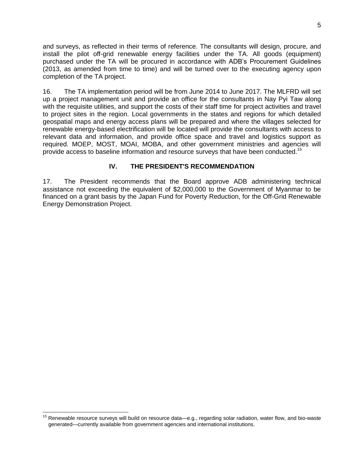and surveys, as reflected in their terms of reference. The consultants will design, procure, and install the pilot off-grid renewable energy facilities under the TA. All goods (equipment) purchased under the TA will be procured in accordance with ADB's Procurement Guidelines (2013, as amended from time to time) and will be turned over to the executing agency upon completion of the TA project.

16. The TA implementation period will be from June 2014 to June 2017. The MLFRD will set up a project management unit and provide an office for the consultants in Nay Pyi Taw along with the requisite utilities, and support the costs of their staff time for project activities and travel to project sites in the region. Local governments in the states and regions for which detailed geospatial maps and energy access plans will be prepared and where the villages selected for renewable energy-based electrification will be located will provide the consultants with access to relevant data and information, and provide office space and travel and logistics support as required. MOEP, MOST, MOAI, MOBA, and other government ministries and agencies will provide access to baseline information and resource surveys that have been conducted.<sup>15</sup>

#### **IV. THE PRESIDENT'S RECOMMENDATION**

17. The President recommends that the Board approve ADB administering technical assistance not exceeding the equivalent of \$2,000,000 to the Government of Myanmar to be financed on a grant basis by the Japan Fund for Poverty Reduction, for the Off-Grid Renewable Energy Demonstration Project.

 $\overline{a}$ 

<sup>&</sup>lt;sup>15</sup> Renewable resource surveys will build on resource data—e.g., regarding solar radiation, water flow, and bio-waste generated—currently available from government agencies and international institutions.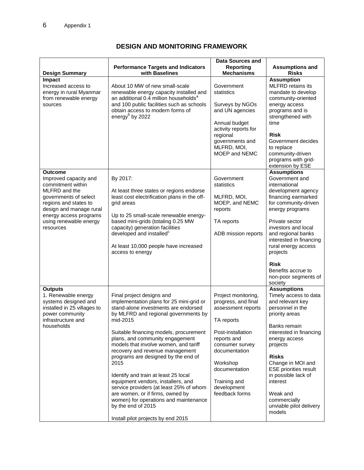# **DESIGN AND MONITORING FRAMEWORK**

| <b>Design Summary</b>                                                                                                                                                                                                | <b>Performance Targets and Indicators</b><br>with Baselines                                                                                                                                                                                                                                                                                                                                                                                                                                                                                                                                                                                 | <b>Data Sources and</b><br><b>Reporting</b><br><b>Mechanisms</b>                                                                                                                                                                     | <b>Assumptions and</b><br><b>Risks</b>                                                                                                                                                                                                                                                                                                                 |
|----------------------------------------------------------------------------------------------------------------------------------------------------------------------------------------------------------------------|---------------------------------------------------------------------------------------------------------------------------------------------------------------------------------------------------------------------------------------------------------------------------------------------------------------------------------------------------------------------------------------------------------------------------------------------------------------------------------------------------------------------------------------------------------------------------------------------------------------------------------------------|--------------------------------------------------------------------------------------------------------------------------------------------------------------------------------------------------------------------------------------|--------------------------------------------------------------------------------------------------------------------------------------------------------------------------------------------------------------------------------------------------------------------------------------------------------------------------------------------------------|
| Impact<br>Increased access to<br>energy in rural Myanmar<br>from renewable energy<br>sources                                                                                                                         | About 10 MW of new small-scale<br>renewable energy capacity installed and<br>an additional 0.4 million households <sup>a</sup><br>and 100 public facilities such as schools<br>obtain access to modern forms of<br>energy <sup>b</sup> by 2022                                                                                                                                                                                                                                                                                                                                                                                              | Government<br>statistics<br>Surveys by NGOs<br>and UN agencies<br>Annual budget<br>activity reports for<br>regional<br>governments and<br>MLFRD, MOI,<br>MOEP and NEMC                                                               | <b>Assumption</b><br><b>MLFRD</b> retains its<br>mandate to develop<br>community-oriented<br>energy access<br>programs and is<br>strengthened with<br>time<br><b>Risk</b><br>Government decides<br>to replace<br>community-driven<br>programs with grid-<br>extension by ESE                                                                           |
| Outcome<br>Improved capacity and<br>commitment within<br>MLFRD and the<br>governments of select<br>regions and states to<br>design and manage rural<br>energy access programs<br>using renewable energy<br>resources | By 2017:<br>At least three states or regions endorse<br>least cost electrification plans in the off-<br>grid areas<br>Up to 25 small-scale renewable energy-<br>based mini-grids (totaling 0.25 MW<br>capacity) generation facilities<br>developed and installed <sup>c</sup><br>At least 10,000 people have increased<br>access to energy                                                                                                                                                                                                                                                                                                  | Government<br>statistics<br>MLFRD, MOI,<br>MOEP, and NEMC<br>reports<br>TA reports<br>ADB mission reports                                                                                                                            | <b>Assumptions</b><br>Government and<br>international<br>development agency<br>financing earmarked<br>for community-driven<br>energy programs<br>Private sector<br>investors and local<br>and regional banks<br>interested in financing<br>rural energy access<br>projects<br><b>Risk</b><br>Benefits accrue to<br>non-poor segments of<br>society     |
| <b>Outputs</b><br>1. Renewable energy<br>systems designed and<br>installed in 25 villages to<br>power community<br>infrastructure and<br>households                                                                  | Final project designs and<br>implementation plans for 25 mini-grid or<br>stand-alone investments are endorsed<br>by MLFRD and regional governments by<br>mid-2015<br>Suitable financing models, procurement<br>plans, and community engagement<br>models that involve women, and tariff<br>recovery and revenue management<br>programs are designed by the end of<br>2015<br>Identify and train at least 25 local<br>equipment vendors, installers, and<br>service providers (at least 25% of whom<br>are women, or if firms, owned by<br>women) for operations and maintenance<br>by the end of 2015<br>Install pilot projects by end 2015 | Project monitoring,<br>progress, and final<br>assessment reports<br>TA reports<br>Post-installation<br>reports and<br>consumer survey<br>documentation<br>Workshop<br>documentation<br>Training and<br>development<br>feedback forms | <b>Assumptions</b><br>Timely access to data<br>and relevant key<br>personnel in the<br>priority areas<br>Banks remain<br>interested in financing<br>energy access<br>projects<br><b>Risks</b><br>Change in MOI and<br><b>ESE priorities result</b><br>in possible lack of<br>interest<br>Weak and<br>commercially<br>unviable pilot delivery<br>models |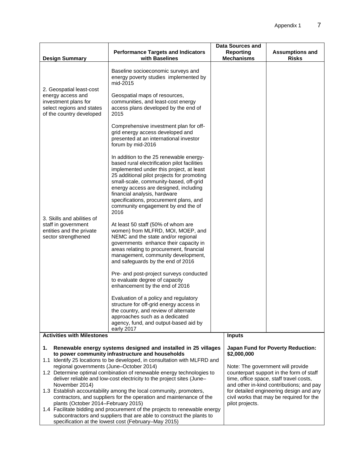| <b>Design Summary</b>                                                                                                                                                                                                                                                                                                                                                                                                                                                                       | <b>Performance Targets and Indicators</b><br>with Baselines                                                                                                                                                                                                                                                                                                                                  | Data Sources and<br><b>Reporting</b><br><b>Mechanisms</b> | <b>Assumptions and</b><br><b>Risks</b>                                                                                                                                                                                                                      |  |
|---------------------------------------------------------------------------------------------------------------------------------------------------------------------------------------------------------------------------------------------------------------------------------------------------------------------------------------------------------------------------------------------------------------------------------------------------------------------------------------------|----------------------------------------------------------------------------------------------------------------------------------------------------------------------------------------------------------------------------------------------------------------------------------------------------------------------------------------------------------------------------------------------|-----------------------------------------------------------|-------------------------------------------------------------------------------------------------------------------------------------------------------------------------------------------------------------------------------------------------------------|--|
|                                                                                                                                                                                                                                                                                                                                                                                                                                                                                             | Baseline socioeconomic surveys and<br>energy poverty studies implemented by<br>mid-2015                                                                                                                                                                                                                                                                                                      |                                                           |                                                                                                                                                                                                                                                             |  |
| 2. Geospatial least-cost<br>energy access and<br>investment plans for<br>select regions and states<br>of the country developed                                                                                                                                                                                                                                                                                                                                                              | Geospatial maps of resources,<br>communities, and least-cost energy<br>access plans developed by the end of<br>2015                                                                                                                                                                                                                                                                          |                                                           |                                                                                                                                                                                                                                                             |  |
|                                                                                                                                                                                                                                                                                                                                                                                                                                                                                             | Comprehensive investment plan for off-<br>grid energy access developed and<br>presented at an international investor<br>forum by mid-2016                                                                                                                                                                                                                                                    |                                                           |                                                                                                                                                                                                                                                             |  |
|                                                                                                                                                                                                                                                                                                                                                                                                                                                                                             | In addition to the 25 renewable energy-<br>based rural electrification pilot facilities<br>implemented under this project, at least<br>25 additional pilot projects for promoting<br>small-scale, community-based, off-grid<br>energy access are designed, including<br>financial analysis, hardware<br>specifications, procurement plans, and<br>community engagement by end the of<br>2016 |                                                           |                                                                                                                                                                                                                                                             |  |
| 3. Skills and abilities of<br>staff in government<br>entities and the private<br>sector strengthened                                                                                                                                                                                                                                                                                                                                                                                        | At least 50 staff (50% of whom are<br>women) from MLFRD, MOI, MOEP, and<br>NEMC and the state and/or regional<br>governments enhance their capacity in<br>areas relating to procurement, financial<br>management, community development,<br>and safeguards by the end of 2016                                                                                                                |                                                           |                                                                                                                                                                                                                                                             |  |
|                                                                                                                                                                                                                                                                                                                                                                                                                                                                                             | Pre- and post-project surveys conducted<br>to evaluate degree of capacity<br>enhancement by the end of 2016                                                                                                                                                                                                                                                                                  |                                                           |                                                                                                                                                                                                                                                             |  |
|                                                                                                                                                                                                                                                                                                                                                                                                                                                                                             | Evaluation of a policy and regulatory<br>structure for off-grid energy access in<br>the country, and review of alternate<br>approaches such as a dedicated<br>agency, fund, and output-based aid by<br>early 2017                                                                                                                                                                            |                                                           |                                                                                                                                                                                                                                                             |  |
| <b>Activities with Milestones</b>                                                                                                                                                                                                                                                                                                                                                                                                                                                           |                                                                                                                                                                                                                                                                                                                                                                                              | <b>Inputs</b>                                             |                                                                                                                                                                                                                                                             |  |
| Renewable energy systems designed and installed in 25 villages<br>1.<br>to power community infrastructure and households<br>1.1 Identify 25 locations to be developed, in consultation with MLFRD and<br>regional governments (June-October 2014)<br>1.2 Determine optimal combination of renewable energy technologies to<br>deliver reliable and low-cost electricity to the project sites (June-<br>November 2014)<br>1.3 Establish accountability among the local community, promoters, |                                                                                                                                                                                                                                                                                                                                                                                              | \$2,000,000                                               | <b>Japan Fund for Poverty Reduction:</b><br>Note: The government will provide<br>counterpart support in the form of staff<br>time, office space, staff travel costs,<br>and other in-kind contributions; and pay<br>for detailed engineering design and any |  |
| plants (October 2014-February 2015)                                                                                                                                                                                                                                                                                                                                                                                                                                                         | contractors, and suppliers for the operation and maintenance of the<br>1.4 Facilitate bidding and procurement of the projects to renewable energy<br>subcontractors and suppliers that are able to construct the plants to<br>specification at the lowest cost (February-May 2015)                                                                                                           | pilot projects.                                           | civil works that may be required for the                                                                                                                                                                                                                    |  |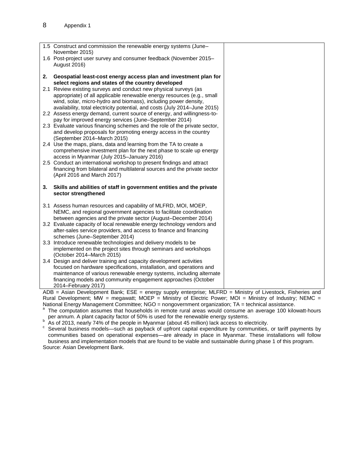|    | 1.5 Construct and commission the renewable energy systems (June-<br>November 2015)                                                                                                                                                                                                          |
|----|---------------------------------------------------------------------------------------------------------------------------------------------------------------------------------------------------------------------------------------------------------------------------------------------|
|    | 1.6 Post-project user survey and consumer feedback (November 2015-<br>August 2016)                                                                                                                                                                                                          |
| 2. | Geospatial least-cost energy access plan and investment plan for<br>select regions and states of the country developed                                                                                                                                                                      |
|    | 2.1 Review existing surveys and conduct new physical surveys (as<br>appropriate) of all applicable renewable energy resources (e.g., small<br>wind, solar, micro-hydro and biomass), including power density,<br>availability, total electricity potential, and costs (July 2014-June 2015) |
|    | 2.2 Assess energy demand, current source of energy, and willingness-to-<br>pay for improved energy services (June-September 2014)                                                                                                                                                           |
|    | 2.3 Evaluate various financing schemes and the role of the private sector,<br>and develop proposals for promoting energy access in the country<br>(September 2014–March 2015)                                                                                                               |
|    | 2.4 Use the maps, plans, data and learning from the TA to create a<br>comprehensive investment plan for the next phase to scale up energy<br>access in Myanmar (July 2015-January 2016)                                                                                                     |
|    | 2.5 Conduct an international workshop to present findings and attract                                                                                                                                                                                                                       |
|    | financing from bilateral and multilateral sources and the private sector<br>(April 2016 and March 2017)                                                                                                                                                                                     |
| 3. | Skills and abilities of staff in government entities and the private<br>sector strengthened                                                                                                                                                                                                 |
|    | 3.1 Assess human resources and capability of MLFRD, MOI, MOEP,<br>NEMC, and regional government agencies to facilitate coordination<br>between agencies and the private sector (August-December 2014)                                                                                       |
|    | 3.2 Evaluate capacity of local renewable energy technology vendors and                                                                                                                                                                                                                      |
|    | after-sales service providers, and access to finance and financing<br>schemes (June-September 2014)                                                                                                                                                                                         |
|    | 3.3 Introduce renewable technologies and delivery models to be<br>implemented on the project sites through seminars and workshops<br>(October 2014–March 2015)                                                                                                                              |
|    | 3.4 Design and deliver training and capacity development activities<br>focused on hardware specifications, installation, and operations and                                                                                                                                                 |
|    | maintenance of various renewable energy systems, including alternate                                                                                                                                                                                                                        |
|    | financing models and community engagement approaches (October<br>2014-February 2017)                                                                                                                                                                                                        |

ADB = Asian Development Bank; ESE = energy supply enterprise; MLFRD = Ministry of Livestock, Fisheries and Rural Development; MW = megawatt; MOEP = Ministry of Electric Power; MOI = Ministry of Industry; NEMC = National Energy Management Committee; NGO = nongovernment organization; TA = technical assistance.<br>a. The computation assumes that boughbolds in remate rural associated associng an overage 100 kilo

- The computation assumes that households in remote rural areas would consume an average 100 kilowatt-hours per annum. A plant capacity factor of 50% is used for the renewable energy systems. b
- As of 2013, nearly 74% of the people in Myanmar (about 45 million) lack access to electricity.

c Several business models—such as payback of upfront capital expenditure by communities, or tariff payments by communities based on operational expenses—are already in place in Myanmar. These installations will follow business and implementation models that are found to be viable and sustainable during phase 1 of this program. Source: Asian Development Bank.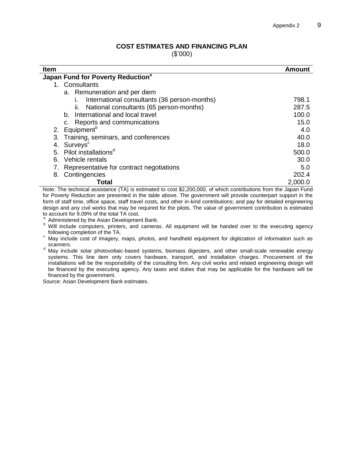#### **COST ESTIMATES AND FINANCING PLAN**

(\$'000)

| <b>Item</b>                                    | Amount  |  |  |
|------------------------------------------------|---------|--|--|
| Japan Fund for Poverty Reduction <sup>a</sup>  |         |  |  |
| 1. Consultants                                 |         |  |  |
| a. Remuneration and per diem                   |         |  |  |
| International consultants (36 person-months)   | 798.1   |  |  |
| National consultants (65 person-months)<br>ii. | 287.5   |  |  |
| b. International and local travel              | 100.0   |  |  |
| c. Reports and communications                  | 15.0    |  |  |
| Equipment <sup>b</sup><br>2.                   | 4.0     |  |  |
| Training, seminars, and conferences<br>3.      | 40.0    |  |  |
| Surveys <sup>c</sup><br>4.                     | 18.0    |  |  |
| 5. Pilot installations <sup>d</sup>            | 500.0   |  |  |
| Vehicle rentals<br>6.                          | 30.0    |  |  |
| Representative for contract negotiations<br>7. | 5.0     |  |  |
| Contingencies<br>8.                            | 202.4   |  |  |
| Total                                          | 2,000.0 |  |  |

Note: The technical assistance (TA) is estimated to cost \$2,200,000, of which contributions from the Japan Fund for Poverty Reduction are presented in the table above. The government will provide counterpart support in the form of staff time, office space, staff travel costs, and other in-kind contributions; and pay for detailed engineering design and any civil works that may be required for the pilots. The value of government contribution is estimated to account for 9.09% of the total TA cost.<br>a Administered by the Asian Davelopme

Administered by the Asian Development Bank.

- b Natilian collect by the Abatt Beverleption. Batter following completion of the TA.
- c following completion of the H time of the May included than and handheld equipment for digitization of information such as scanners.
- <sup>d</sup> May include solar photovoltaic-based systems, biomass digesters, and other small-scale renewable energy systems. This line item only covers hardware, transport, and installation charges. Procurement of the installations will be the responsibility of the consulting firm. Any civil works and related engineering design will be financed by the executing agency. Any taxes and duties that may be applicable for the hardware will be financed by the government.

Source: Asian Development Bank estimates.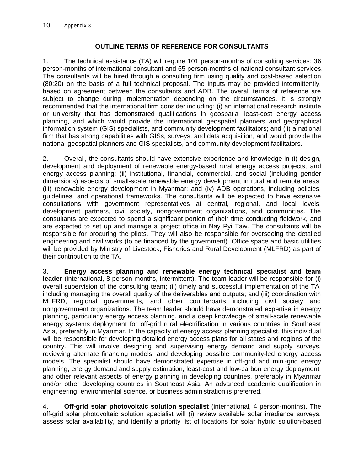### **OUTLINE TERMS OF REFERENCE FOR CONSULTANTS**

1. The technical assistance (TA) will require 101 person-months of consulting services: 36 person-months of international consultant and 65 person-months of national consultant services. The consultants will be hired through a consulting firm using quality and cost-based selection (80:20) on the basis of a full technical proposal. The inputs may be provided intermittently, based on agreement between the consultants and ADB. The overall terms of reference are subject to change during implementation depending on the circumstances. It is strongly recommended that the international firm consider including: (i) an international research institute or university that has demonstrated qualifications in geospatial least-cost energy access planning, and which would provide the international geospatial planners and geographical information system (GIS) specialists, and community development facilitators; and (ii) a national firm that has strong capabilities with GISs, surveys, and data acquisition, and would provide the national geospatial planners and GIS specialists, and community development facilitators.

2. Overall, the consultants should have extensive experience and knowledge in (i) design, development and deployment of renewable energy-based rural energy access projects, and energy access planning; (ii) institutional, financial, commercial, and social (including gender dimensions) aspects of small-scale renewable energy development in rural and remote areas; (iii) renewable energy development in Myanmar; and (iv) ADB operations, including policies, guidelines, and operational frameworks. The consultants will be expected to have extensive consultations with government representatives at central, regional, and local levels, development partners, civil society, nongovernment organizations, and communities. The consultants are expected to spend a significant portion of their time conducting fieldwork, and are expected to set up and manage a project office in Nay Pyi Taw. The consultants will be responsible for procuring the pilots. They will also be responsible for overseeing the detailed engineering and civil works (to be financed by the government). Office space and basic utilities will be provided by Ministry of Livestock, Fisheries and Rural Development (MLFRD) as part of their contribution to the TA.

3. **Energy access planning and renewable energy technical specialist and team leader** (international, 8 person-months, intermittent). The team leader will be responsible for (i) overall supervision of the consulting team; (ii) timely and successful implementation of the TA, including managing the overall quality of the deliverables and outputs; and (iii) coordination with MLFRD, regional governments, and other counterparts including civil society and nongovernment organizations. The team leader should have demonstrated expertise in energy planning, particularly energy access planning, and a deep knowledge of small-scale renewable energy systems deployment for off-grid rural electrification in various countries in Southeast Asia, preferably in Myanmar. In the capacity of energy access planning specialist, this individual will be responsible for developing detailed energy access plans for all states and regions of the country. This will involve designing and supervising energy demand and supply surveys, reviewing alternate financing models, and developing possible community-led energy access models. The specialist should have demonstrated expertise in off-grid and mini-grid energy planning, energy demand and supply estimation, least-cost and low-carbon energy deployment, and other relevant aspects of energy planning in developing countries, preferably in Myanmar and/or other developing countries in Southeast Asia. An advanced academic qualification in engineering, environmental science, or business administration is preferred.

4. **Off-grid solar photovoltaic solution specialist** (international, 4 person-months). The off-grid solar photovoltaic solution specialist will (i) review available solar irradiance surveys, assess solar availability, and identify a priority list of locations for solar hybrid solution-based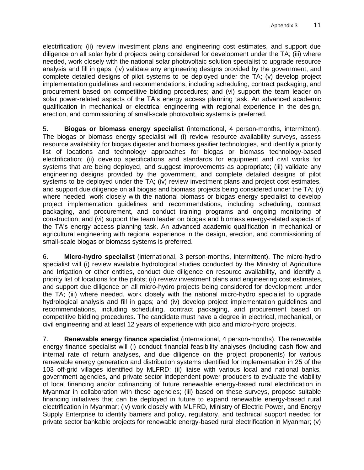electrification; (ii) review investment plans and engineering cost estimates, and support due diligence on all solar hybrid projects being considered for development under the TA; (iii) where needed, work closely with the national solar photovoltaic solution specialist to upgrade resource analysis and fill in gaps; (iv) validate any engineering designs provided by the government, and complete detailed designs of pilot systems to be deployed under the TA; (v) develop project implementation guidelines and recommendations, including scheduling, contract packaging, and procurement based on competitive bidding procedures; and (vi) support the team leader on solar power-related aspects of the TA's energy access planning task. An advanced academic qualification in mechanical or electrical engineering with regional experience in the design, erection, and commissioning of small-scale photovoltaic systems is preferred.

5. **Biogas or biomass energy specialist** (international, 4 person-months, intermittent). The biogas or biomass energy specialist will (i) review resource availability surveys, assess resource availability for biogas digester and biomass gasifier technologies, and identify a priority list of locations and technology approaches for biogas or biomass technology-based electrification; (ii) develop specifications and standards for equipment and civil works for systems that are being deployed, and suggest improvements as appropriate; (iii) validate any engineering designs provided by the government, and complete detailed designs of pilot systems to be deployed under the TA; (iv) review investment plans and project cost estimates, and support due diligence on all biogas and biomass projects being considered under the TA; (v) where needed, work closely with the national biomass or biogas energy specialist to develop project implementation guidelines and recommendations, including scheduling, contract packaging, and procurement, and conduct training programs and ongoing monitoring of construction; and (vi) support the team leader on biogas and biomass energy-related aspects of the TA's energy access planning task. An advanced academic qualification in mechanical or agricultural engineering with regional experience in the design, erection, and commissioning of small-scale biogas or biomass systems is preferred.

6. **Micro-hydro specialist** (international, 3 person-months, intermittent). The micro-hydro specialist will (i) review available hydrological studies conducted by the Ministry of Agriculture and Irrigation or other entities, conduct due diligence on resource availability, and identify a priority list of locations for the pilots; (ii) review investment plans and engineering cost estimates, and support due diligence on all micro-hydro projects being considered for development under the TA; (iii) where needed, work closely with the national micro-hydro specialist to upgrade hydrological analysis and fill in gaps; and (iv) develop project implementation guidelines and recommendations, including scheduling, contract packaging, and procurement based on competitive bidding procedures. The candidate must have a degree in electrical, mechanical, or civil engineering and at least 12 years of experience with pico and micro-hydro projects.

Myanmar in collaboration with these agencies; (iii) based on these surveys, propose suitable financing initiatives that can be deployed in future to expand renewable energy-based rural 7. **Renewable energy finance specialist** (international, 4 person-months). The renewable energy finance specialist will (i) conduct financial feasibility analyses (including cash flow and internal rate of return analyses, and due diligence on the project proponents) for various renewable energy generation and distribution systems identified for implementation in 25 of the 103 off-grid villages identified by MLFRD; (ii) liaise with various local and national banks, government agencies, and private sector independent power producers to evaluate the viability of local financing and/or cofinancing of future renewable energy-based rural electrification in electrification in Myanmar; (iv) work closely with MLFRD, Ministry of Electric Power, and Energy Supply Enterprise to identify barriers and policy, regulatory, and technical support needed for private sector bankable projects for renewable energy-based rural electrification in Myanmar; (v)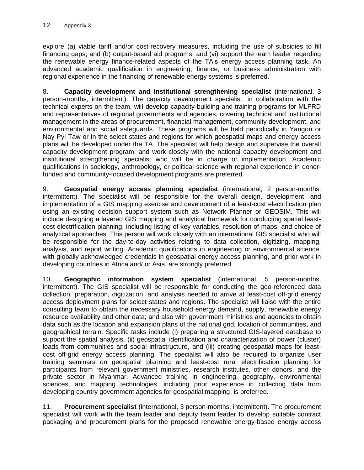explore (a) viable tariff and/or cost-recovery measures, including the use of subsidies to fill financing gaps; and (b) output-based aid programs; and (vi) support the team leader regarding the renewable energy finance-related aspects of the TA's energy access planning task. An advanced academic qualification in engineering, finance, or business administration with regional experience in the financing of renewable energy systems is preferred.

8. **Capacity development and institutional strengthening specialist** (international, 3 person-months, intermittent). The capacity development specialist, in collaboration with the technical experts on the team, will develop capacity-building and training programs for MLFRD and representatives of regional governments and agencies, covering technical and institutional management in the areas of procurement, financial management, community development, and environmental and social safeguards. These programs will be held periodically in Yangon or Nay Pyi Taw or in the select states and regions for which geospatial maps and energy access plans will be developed under the TA. The specialist will help design and supervise the overall capacity development program, and work closely with the national capacity development and institutional strengthening specialist who will be in charge of implementation. Academic qualifications in sociology, anthropology, or political science with regional experience in donorfunded and community-focused development programs are preferred.

9. **Geospatial energy access planning specialist** (international, 2 person-months, intermittent). The specialist will be responsible for the overall design, development, and implementation of a GIS mapping exercise and development of a least-cost electrification plan using an existing decision support system such as Network Planner or GEOSIM. This will include designing a layered GIS mapping and analytical framework for conducting spatial leastcost electrification planning, including listing of key variables, resolution of maps, and choice of analytical approaches. This person will work closely with an international GIS specialist who will be responsible for the day-to-day activities relating to data collection, digitizing, mapping, analysis, and report writing. Academic qualifications in engineering or environmental science, with globally acknowledged credentials in geospatial energy access planning, and prior work in developing countries in Africa and/ or Asia, are strongly preferred.

10. **Geographic information system specialist** (international, 5 person-months, intermittent). The GIS specialist will be responsible for conducting the geo-referenced data collection, preparation, digitization, and analysis needed to arrive at least-cost off-grid energy access deployment plans for select states and regions. The specialist will liaise with the entire consulting team to obtain the necessary household energy demand, supply, renewable energy resource availability and other data; and also with government ministries and agencies to obtain data such as the location and expansion plans of the national grid, location of communities, and geographical terrain. Specific tasks include (i) preparing a structured GIS-layered database to support the spatial analysis, (ii) geospatial identification and characterization of power (cluster) loads from communities and social infrastructure, and (iii) creating geospatial maps for leastcost off-grid energy access planning. The specialist will also be required to organize user training seminars on geospatial planning and least-cost rural electrification planning for participants from relevant government ministries, research institutes, other donors, and the private sector in Myanmar. Advanced training in engineering, geography, environmental sciences, and mapping technologies, including prior experience in collecting data from developing country government agencies for geospatial mapping, is preferred.

11. **Procurement specialist** (international, 3 person-months, intermittent). The procurement specialist will work with the team leader and deputy team leader to develop suitable contract packaging and procurement plans for the proposed renewable energy-based energy access